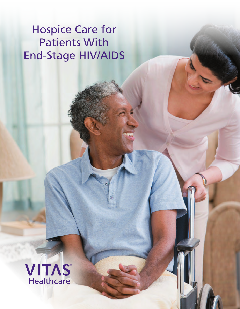# Hospice Care for Patients With End-Stage HIV/AIDS

 $\odot$ 

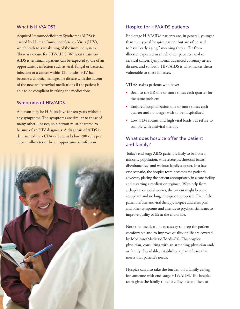#### What is HIV/AIDS?

Acquired Immunodeficiency Syndrome (AIDS) is caused by Human Immunodeficiency Virus (HIV), which leads to a weakening of the immune system. There is no cure for HIV/AIDS. Without treatment, AIDS is terminal; a patient can be expected to die of an opportunistic infection such as viral, fungal or bacterial infection or a cancer within 12 months. HIV has become a chronic, manageable disease with the advent of the new antiretroviral medications if the patient is able to be compliant in taking the medications.

#### Symptoms of HIV/AIDS

A person may be HIV-positive for ten years without any symptoms. The symptoms are similar to those of many other illnesses, so a person must be tested to be sure of an HIV diagnosis. A diagnosis of AIDS is determined by a CD4 cell count below 200 cells per cubic millimeter or by an opportunistic infection.



#### Hospice for HIV/AIDS patients

End-stage HIV/AIDS patients are, in general, younger than the typical hospice patient but are often said to have "early aging," meaning they suffer from illnesses expected in much older patients: anal or cervical cancer, lymphoma, advanced coronary artery disease, and so forth. HIV/AIDS is what makes them vulnerable to these illnesses.

VITAS assists patients who have:

- Been to the ER one or more times each quarter for the same problem
- Endured hospitalization one or more times each quarter and no longer wish to be hospitalized
- Low CD4 counts and high viral loads but refuse to comply with antiviral therapy

### What does hospice offer the patient and family?

Today's end-stage AIDS patient is likely to be from a minority population, with severe psychosocial issues, disenfranchised and without family support. In a bestcase scenario, the hospice team becomes the patient's advocate, placing the patient appropriately in a care facility and restarting a medication regimen. With help from a chaplain or social worker, the patient might become compliant and no longer hospice appropriate. Even if the patient refuses antiviral therapy, hospice addresses pain and other symptoms and attends to psychosocial issues to improve quality of life at the end of life.

Note that medications necessary to keep the patient comfortable and to improve quality of life are covered by Medicare/Medicaid/Medi-Cal. The hospice physician, consulting with an attending physician and/ or family if available, establishes a plan of care that meets that patient's needs.

Hospice can also take the burden off a family caring for someone with end-stage HIV/AIDS. The hospice team gives the family time to enjoy one another, to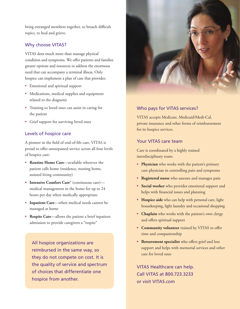bring estranged members together, to broach difficult topics, to heal and grieve.

#### Why choose VITAS?

VITAS does much more than manage physical condition and symptoms. We offer patients and families greater options and resources to address the enormous need that can accompany a terminal illness. Only hospice can implement a plan of care that provides:

- Emotional and spiritual support
- Medications, medical supplies and equipment related to the diagnosis
- Training so loved ones can assist in caring for the patient
- Grief support for surviving loved ones

#### Levels of hospice care

A pioneer in the field of end-of-life care, VITAS is proud to offer unsurpassed service across all four levels of hospice care:

- **Routine Home Care**—available wherever the patient calls home (residence, nursing home, assisted living community)
- **Intensive Comfort Care®** (continuous care) medical management in the home for up to 24 hours per day when medically appropriate
- **Inpatient Care**—when medical needs cannot be managed at home
- **Respite Care**—allows the patient a brief inpatient admission to provide caregivers a "respite"

All hospice organizations are reimbursed in the same way, so they do not compete on cost. It is the quality of service and spectrum of choices that differentiate one hospice from another.



#### Who pays for VITAS services?

VITAS accepts Medicare, Medicaid/Medi-Cal, private insurance and other forms of reimbursement for its hospice services.

#### Your VITAS care team

Care is coordinated by a highly trained interdisciplinary team:

- **Physician** who works with the patient's primary care physician in controlling pain and symptoms
- **Registered nurse** who assesses and manages pain
- **Social worker** who provides emotional support and helps with financial issues and planning
- **Hospice aide** who can help with personal care, light housekeeping, light laundry and occasional shopping
- **Chaplain** who works with the patient's own clergy and offers spiritual support
- **Community volunteer** trained by VITAS to offer time and companionship
- **Bereavement specialist** who offers grief and loss support and helps with memorial services and other care for loved ones

VITAS Healthcare can help. Call VITAS at 800.723.3233 or visit VITAS.com